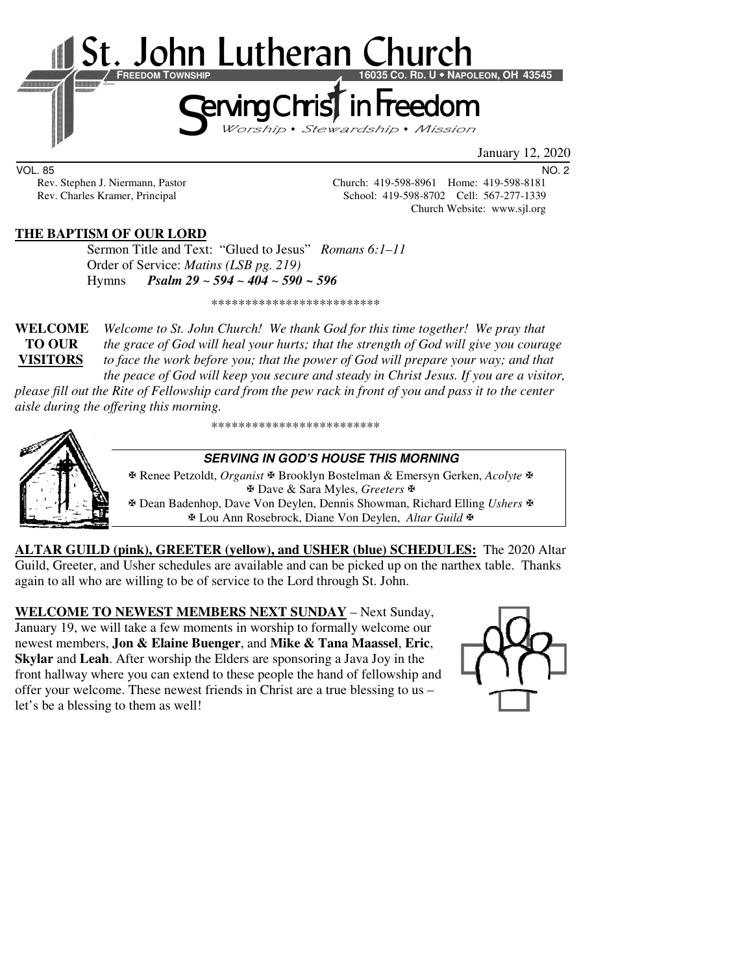

January 12, 2020

VOL. 85 NO. 2

Rev. Stephen J. Niermann, Pastor Church: 419-598-8961 Home: 419-598-8181<br>Rev. Charles Kramer, Principal School: 419-598-8702 Cell: 567-277-1339 School: 419-598-8702 Cell: 567-277-1339 Church Website: www.sjl.org

### **THE BAPTISM OF OUR LORD**

 Sermon Title and Text: "Glued to Jesus" *Romans 6:1–11* Order of Service: *Matins (LSB pg. 219)*  Hymns *Psalm 29 ~ 594 ~ 404 ~ 590 ~ 596*

\*\*\*\*\*\*\*\*\*\*\*\*\*\*\*\*\*\*\*\*\*\*\*\*\*

**WELCOME** *Welcome to St. John Church! We thank God for this time together! We pray that* **TO OUR** *the grace of God will heal your hurts; that the strength of God will give you courage*  **VISITORS** *to face the work before you; that the power of God will prepare your way; and that the peace of God will keep you secure and steady in Christ Jesus. If you are a visitor,* 

*please fill out the Rite of Fellowship card from the pew rack in front of you and pass it to the center aisle during the offering this morning.* 

\*\*\*\*\*\*\*\*\*\*\*\*\*\*\*\*\*\*\*\*\*\*\*\*\*



#### **SERVING IN GOD'S HOUSE THIS MORNING**

 Renee Petzoldt, *Organist* Brooklyn Bostelman & Emersyn Gerken, *Acolyte* Dave & Sara Myles, *Greeters* Dean Badenhop, Dave Von Deylen, Dennis Showman, Richard Elling *Ushers* Lou Ann Rosebrock, Diane Von Deylen, *Altar Guild*

**ALTAR GUILD (pink), GREETER (yellow), and USHER (blue) SCHEDULES:** The 2020 Altar Guild, Greeter, and Usher schedules are available and can be picked up on the narthex table. Thanks again to all who are willing to be of service to the Lord through St. John.

**WELCOME TO NEWEST MEMBERS NEXT SUNDAY** – Next Sunday, January 19, we will take a few moments in worship to formally welcome our newest members, **Jon & Elaine Buenger**, and **Mike & Tana Maassel**, **Eric**, **Skylar** and **Leah**. After worship the Elders are sponsoring a Java Joy in the front hallway where you can extend to these people the hand of fellowship and offer your welcome. These newest friends in Christ are a true blessing to us – let's be a blessing to them as well!

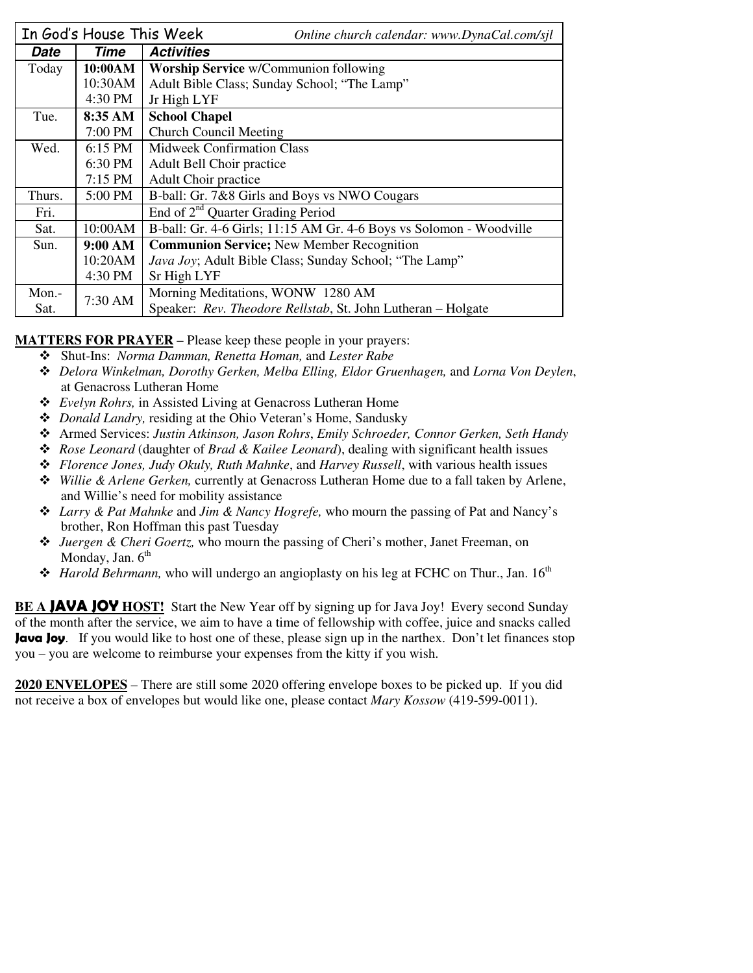|        | In God's House This Week | Online church calendar: www.DynaCal.com/sjl                         |  |  |
|--------|--------------------------|---------------------------------------------------------------------|--|--|
| Date   | Time                     | <b>Activities</b>                                                   |  |  |
| Today  | 10:00AM                  | <b>Worship Service</b> w/Communion following                        |  |  |
|        | 10:30AM                  | Adult Bible Class; Sunday School; "The Lamp"                        |  |  |
|        | 4:30 PM                  | Jr High LYF                                                         |  |  |
| Tue.   | 8:35 AM                  | <b>School Chapel</b>                                                |  |  |
|        | 7:00 PM                  | <b>Church Council Meeting</b>                                       |  |  |
| Wed.   | 6:15 PM                  | <b>Midweek Confirmation Class</b>                                   |  |  |
|        | 6:30 PM                  | Adult Bell Choir practice                                           |  |  |
|        | $7:15$ PM                | Adult Choir practice                                                |  |  |
| Thurs. | 5:00 PM                  | B-ball: Gr. 7&8 Girls and Boys vs NWO Cougars                       |  |  |
| Fri.   |                          | End of 2 <sup>nd</sup> Quarter Grading Period                       |  |  |
| Sat.   | 10:00AM                  | B-ball: Gr. 4-6 Girls; 11:15 AM Gr. 4-6 Boys vs Solomon - Woodville |  |  |
| Sun.   | 9:00 AM                  | <b>Communion Service; New Member Recognition</b>                    |  |  |
|        | 10:20AM                  | Java Joy; Adult Bible Class; Sunday School; "The Lamp"              |  |  |
|        | 4:30 PM                  | Sr High LYF                                                         |  |  |
| Mon.-  | 7:30 AM                  | Morning Meditations, WONW 1280 AM                                   |  |  |
| Sat.   |                          | Speaker: Rev. Theodore Rellstab, St. John Lutheran - Holgate        |  |  |

**MATTERS FOR PRAYER** – Please keep these people in your prayers:

- Shut-Ins: *Norma Damman, Renetta Homan,* and *Lester Rabe* 
	- *Delora Winkelman, Dorothy Gerken, Melba Elling, Eldor Gruenhagen,* and *Lorna Von Deylen*, at Genacross Lutheran Home
	- *Evelyn Rohrs,* in Assisted Living at Genacross Lutheran Home
	- *Donald Landry,* residing at the Ohio Veteran's Home, Sandusky
	- Armed Services: *Justin Atkinson, Jason Rohrs*, *Emily Schroeder, Connor Gerken, Seth Handy*
	- *Rose Leonard* (daughter of *Brad & Kailee Leonard*), dealing with significant health issues
	- *Florence Jones, Judy Okuly, Ruth Mahnke*, and *Harvey Russell*, with various health issues
	- *Willie & Arlene Gerken,* currently at Genacross Lutheran Home due to a fall taken by Arlene, and Willie's need for mobility assistance
	- *Larry & Pat Mahnke* and *Jim & Nancy Hogrefe,* who mourn the passing of Pat and Nancy's brother, Ron Hoffman this past Tuesday
	- *Juergen & Cheri Goertz,* who mourn the passing of Cheri's mother, Janet Freeman, on Monday, Jan.  $6<sup>th</sup>$
	- $\triangle$  *Harold Behrmann,* who will undergo an angioplasty on his leg at FCHC on Thur., Jan. 16<sup>th</sup>

**BE A JAVA JOY** HOST! Start the New Year off by signing up for Java Joy! Every second Sunday of the month after the service, we aim to have a time of fellowship with coffee, juice and snacks called **Java Joy**. If you would like to host one of these, please sign up in the narthex. Don't let finances stop you – you are welcome to reimburse your expenses from the kitty if you wish.

**2020 ENVELOPES** – There are still some 2020 offering envelope boxes to be picked up. If you did not receive a box of envelopes but would like one, please contact *Mary Kossow* (419-599-0011).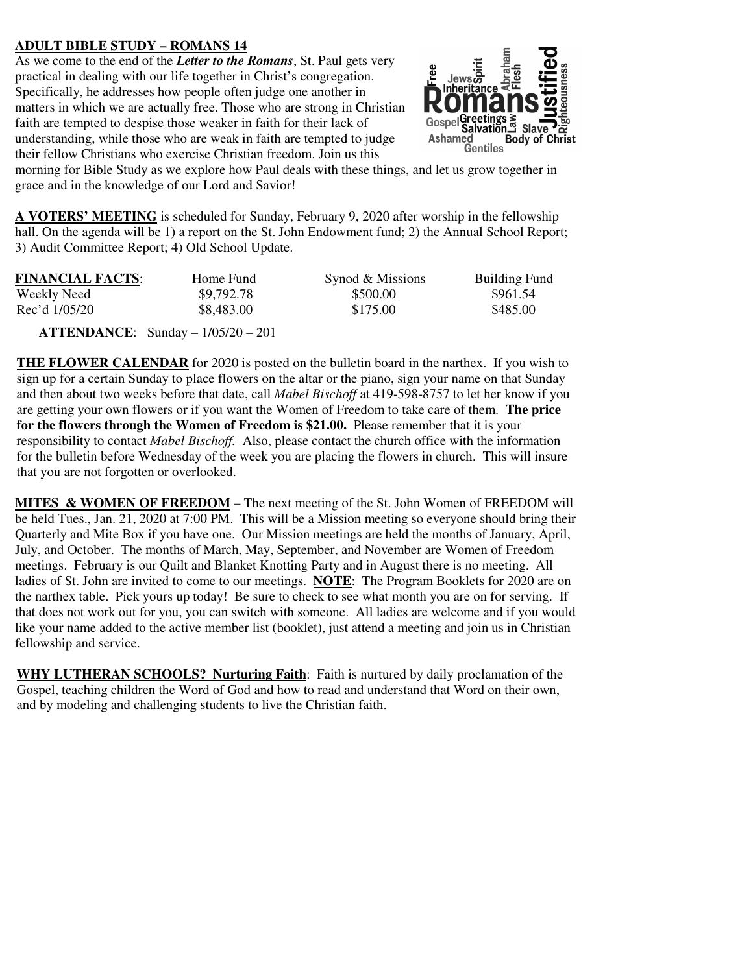## **ADULT BIBLE STUDY – ROMANS 14**

As we come to the end of the *Letter to the Romans*, St. Paul gets very practical in dealing with our life together in Christ's congregation. Specifically, he addresses how people often judge one another in matters in which we are actually free. Those who are strong in Christian faith are tempted to despise those weaker in faith for their lack of understanding, while those who are weak in faith are tempted to judge their fellow Christians who exercise Christian freedom. Join us this



morning for Bible Study as we explore how Paul deals with these things, and let us grow together in grace and in the knowledge of our Lord and Savior!

**A VOTERS' MEETING** is scheduled for Sunday, February 9, 2020 after worship in the fellowship hall. On the agenda will be 1) a report on the St. John Endowment fund; 2) the Annual School Report; 3) Audit Committee Report; 4) Old School Update.

| <b>FINANCIAL FACTS:</b> | Home Fund  | Synod & Missions | <b>Building Fund</b> |
|-------------------------|------------|------------------|----------------------|
| Weekly Need             | \$9,792.78 | \$500.00         | \$961.54             |
| Rec'd 1/05/20           | \$8,483.00 | \$175.00         | \$485.00             |

 **ATTENDANCE**: Sunday – 1/05/20 – 201

**THE FLOWER CALENDAR** for 2020 is posted on the bulletin board in the narthex. If you wish to sign up for a certain Sunday to place flowers on the altar or the piano, sign your name on that Sunday and then about two weeks before that date, call *Mabel Bischoff* at 419-598-8757 to let her know if you are getting your own flowers or if you want the Women of Freedom to take care of them. **The price for the flowers through the Women of Freedom is \$21.00.** Please remember that it is your responsibility to contact *Mabel Bischoff.* Also, please contact the church office with the information for the bulletin before Wednesday of the week you are placing the flowers in church. This will insure that you are not forgotten or overlooked.

**MITES & WOMEN OF FREEDOM** – The next meeting of the St. John Women of FREEDOM will be held Tues., Jan. 21, 2020 at 7:00 PM. This will be a Mission meeting so everyone should bring their Quarterly and Mite Box if you have one. Our Mission meetings are held the months of January, April, July, and October. The months of March, May, September, and November are Women of Freedom meetings. February is our Quilt and Blanket Knotting Party and in August there is no meeting. All ladies of St. John are invited to come to our meetings. **NOTE**: The Program Booklets for 2020 are on the narthex table. Pick yours up today! Be sure to check to see what month you are on for serving. If that does not work out for you, you can switch with someone. All ladies are welcome and if you would like your name added to the active member list (booklet), just attend a meeting and join us in Christian fellowship and service.

**WHY LUTHERAN SCHOOLS? Nurturing Faith**: Faith is nurtured by daily proclamation of the Gospel, teaching children the Word of God and how to read and understand that Word on their own, and by modeling and challenging students to live the Christian faith.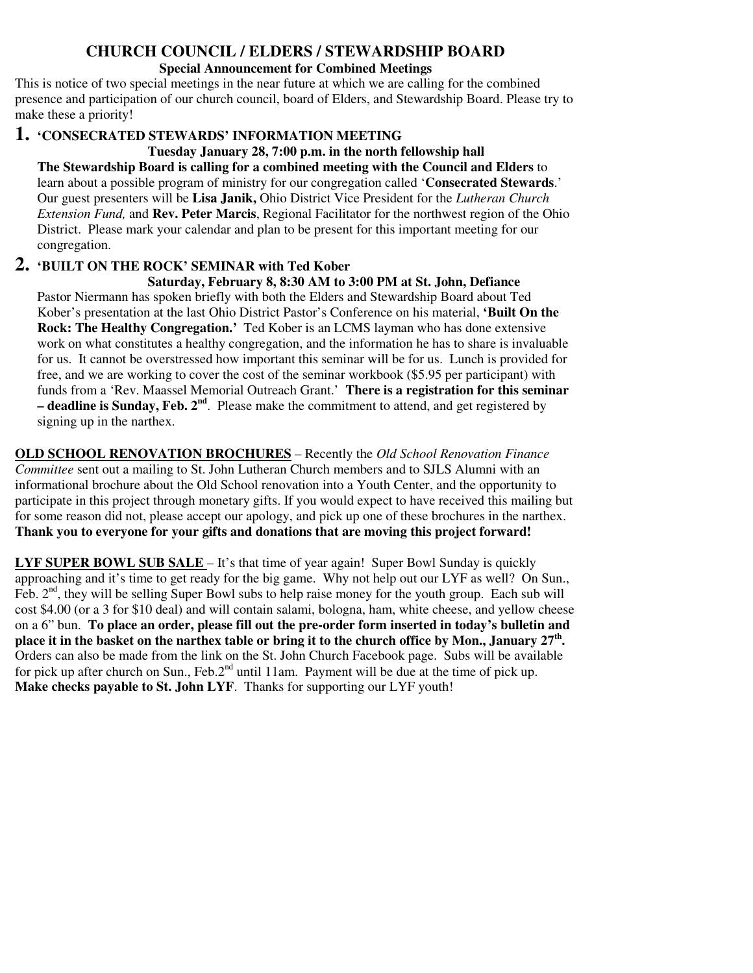## **CHURCH COUNCIL / ELDERS / STEWARDSHIP BOARD**

### **Special Announcement for Combined Meetings**

This is notice of two special meetings in the near future at which we are calling for the combined presence and participation of our church council, board of Elders, and Stewardship Board. Please try to make these a priority!

## **1. 'CONSECRATED STEWARDS' INFORMATION MEETING**

**Tuesday January 28, 7:00 p.m. in the north fellowship hall The Stewardship Board is calling for a combined meeting with the Council and Elders** to learn about a possible program of ministry for our congregation called '**Consecrated Stewards**.' Our guest presenters will be **Lisa Janik,** Ohio District Vice President for the *Lutheran Church Extension Fund,* and **Rev. Peter Marcis**, Regional Facilitator for the northwest region of the Ohio District. Please mark your calendar and plan to be present for this important meeting for our congregation.

# **2. 'BUILT ON THE ROCK' SEMINAR with Ted Kober**

 **Saturday, February 8, 8:30 AM to 3:00 PM at St. John, Defiance**  Pastor Niermann has spoken briefly with both the Elders and Stewardship Board about Ted Kober's presentation at the last Ohio District Pastor's Conference on his material, **'Built On the Rock: The Healthy Congregation.'** Ted Kober is an LCMS layman who has done extensive work on what constitutes a healthy congregation, and the information he has to share is invaluable for us. It cannot be overstressed how important this seminar will be for us. Lunch is provided for free, and we are working to cover the cost of the seminar workbook (\$5.95 per participant) with funds from a 'Rev. Maassel Memorial Outreach Grant.' **There is a registration for this seminar – deadline is Sunday, Feb. 2nd**. Please make the commitment to attend, and get registered by signing up in the narthex.

**OLD SCHOOL RENOVATION BROCHURES** – Recently the *Old School Renovation Finance Committee* sent out a mailing to St. John Lutheran Church members and to SJLS Alumni with an informational brochure about the Old School renovation into a Youth Center, and the opportunity to participate in this project through monetary gifts. If you would expect to have received this mailing but for some reason did not, please accept our apology, and pick up one of these brochures in the narthex. **Thank you to everyone for your gifts and donations that are moving this project forward!** 

**LYF SUPER BOWL SUB SALE** – It's that time of year again! Super Bowl Sunday is quickly approaching and it's time to get ready for the big game. Why not help out our LYF as well? On Sun., Feb.  $2<sup>nd</sup>$ , they will be selling Super Bowl subs to help raise money for the youth group. Each sub will cost \$4.00 (or a 3 for \$10 deal) and will contain salami, bologna, ham, white cheese, and yellow cheese on a 6" bun. **To place an order, please fill out the pre-order form inserted in today's bulletin and place it in the basket on the narthex table or bring it to the church office by Mon., January 27th .** Orders can also be made from the link on the St. John Church Facebook page. Subs will be available for pick up after church on Sun., Feb.2<sup>nd</sup> until 11am. Payment will be due at the time of pick up. **Make checks payable to St. John LYF**. Thanks for supporting our LYF youth!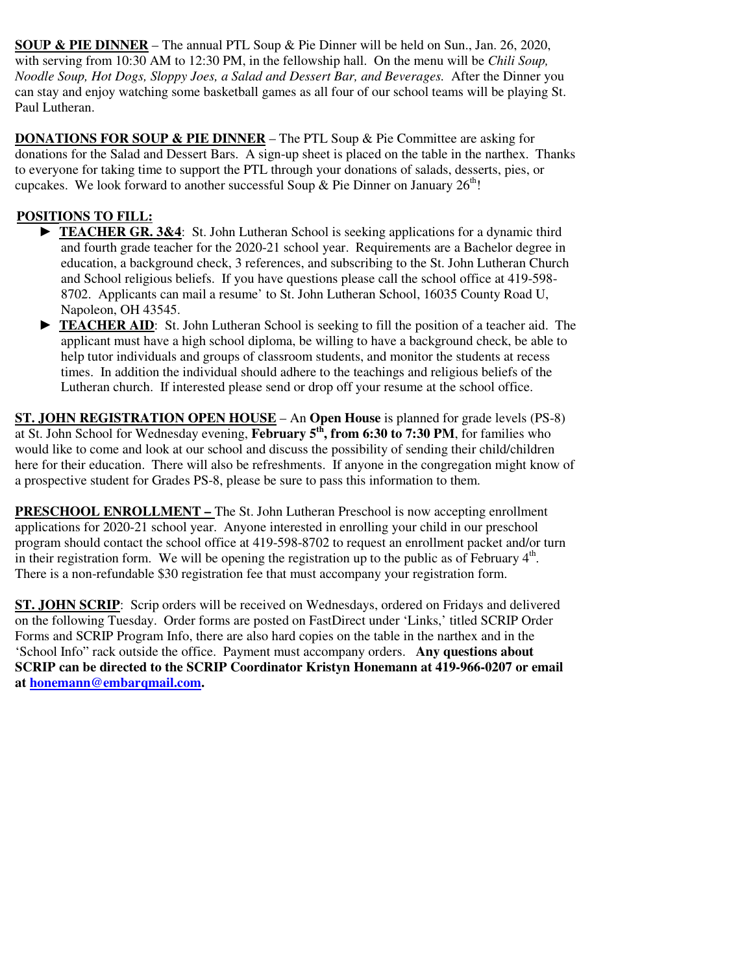**SOUP & PIE DINNER** – The annual PTL Soup & Pie Dinner will be held on Sun., Jan. 26, 2020, with serving from 10:30 AM to 12:30 PM, in the fellowship hall. On the menu will be *Chili Soup, Noodle Soup, Hot Dogs, Sloppy Joes, a Salad and Dessert Bar, and Beverages.* After the Dinner you can stay and enjoy watching some basketball games as all four of our school teams will be playing St. Paul Lutheran.

**DONATIONS FOR SOUP & PIE DINNER** – The PTL Soup & Pie Committee are asking for donations for the Salad and Dessert Bars. A sign-up sheet is placed on the table in the narthex. Thanks to everyone for taking time to support the PTL through your donations of salads, desserts, pies, or cupcakes. We look forward to another successful Soup & Pie Dinner on January  $26<sup>th</sup>$ !

# **POSITIONS TO FILL:**

- ► **TEACHER GR. 3&4**: St. John Lutheran School is seeking applications for a dynamic third and fourth grade teacher for the 2020-21 school year. Requirements are a Bachelor degree in education, a background check, 3 references, and subscribing to the St. John Lutheran Church and School religious beliefs. If you have questions please call the school office at 419-598- 8702. Applicants can mail a resume' to St. John Lutheran School, 16035 County Road U, Napoleon, OH 43545.
- ► **TEACHER AID**: St. John Lutheran School is seeking to fill the position of a teacher aid. The applicant must have a high school diploma, be willing to have a background check, be able to help tutor individuals and groups of classroom students, and monitor the students at recess times. In addition the individual should adhere to the teachings and religious beliefs of the Lutheran church. If interested please send or drop off your resume at the school office.

**ST. JOHN REGISTRATION OPEN HOUSE** – An **Open House** is planned for grade levels (PS-8) at St. John School for Wednesday evening, **February 5th, from 6:30 to 7:30 PM**, for families who would like to come and look at our school and discuss the possibility of sending their child/children here for their education. There will also be refreshments. If anyone in the congregation might know of a prospective student for Grades PS-8, please be sure to pass this information to them.

**PRESCHOOL ENROLLMENT –** The St. John Lutheran Preschool is now accepting enrollment applications for 2020-21 school year. Anyone interested in enrolling your child in our preschool program should contact the school office at 419-598-8702 to request an enrollment packet and/or turn in their registration form. We will be opening the registration up to the public as of February  $4<sup>th</sup>$ . There is a non-refundable \$30 registration fee that must accompany your registration form.

**ST. JOHN SCRIP**: Scrip orders will be received on Wednesdays, ordered on Fridays and delivered on the following Tuesday. Order forms are posted on FastDirect under 'Links,' titled SCRIP Order Forms and SCRIP Program Info, there are also hard copies on the table in the narthex and in the 'School Info" rack outside the office. Payment must accompany orders. **Any questions about SCRIP can be directed to the SCRIP Coordinator Kristyn Honemann at 419-966-0207 or email at honemann@embarqmail.com.**